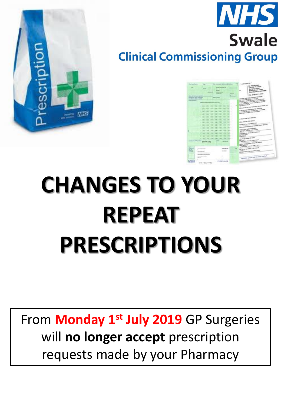

# **Swale Clinical Commissioning Group**



HK

# **CHANGES TO YOUR REPEAT PRESCRIPTIONS**

From **Monday 1st July 2019** GP Surgeries will **no longer accept** prescription requests made by your Pharmacy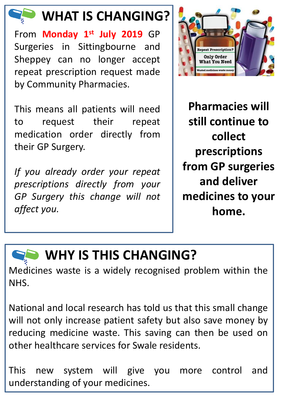

#### **WHAT IS CHANGING?**

From **Monday 1 st July 2019** GP Surgeries in Sittingbourne and Sheppey can no longer accept repeat prescription request made by Community Pharmacies.

This means all patients will need to request their repeat medication order directly from their GP Surgery.

*If you already order your repeat prescriptions directly from your GP Surgery this change will not affect you.*



**Pharmacies will still continue to collect prescriptions from GP surgeries and deliver medicines to your home.**

### **WHY IS THIS CHANGING?**

Medicines waste is a widely recognised problem within the NHS.

National and local research has told us that this small change will not only increase patient safety but also save money by reducing medicine waste. This saving can then be used on other healthcare services for Swale residents.

This new system will give you more control and understanding of your medicines.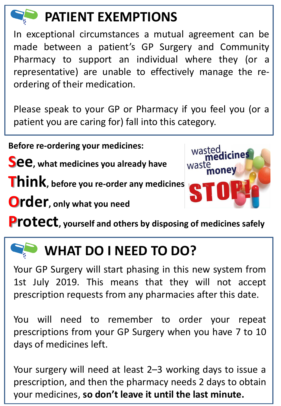# **PATIENT EXEMPTIONS**

In exceptional circumstances a mutual agreement can be made between a patient's GP Surgery and Community Pharmacy to support an individual where they (or a representative) are unable to effectively manage the reordering of their medication.

Please speak to your GP or Pharmacy if you feel you (or a patient you are caring for) fall into this category.

**Before re-ordering your medicines:**

**See**, what medicines you already have

**Think, before you re-order any medicines**

**Order, only what you need**



**Protect, yourself and others by disposing of medicines safely**

## **WHAT DO I NEED TO DO?**

Your GP Surgery will start phasing in this new system from 1st July 2019. This means that they will not accept prescription requests from any pharmacies after this date.

You will need to remember to order your repeat prescriptions from your GP Surgery when you have 7 to 10 days of medicines left.

Your surgery will need at least 2–3 working days to issue a prescription, and then the pharmacy needs 2 days to obtain your medicines, **so don't leave it until the last minute.**